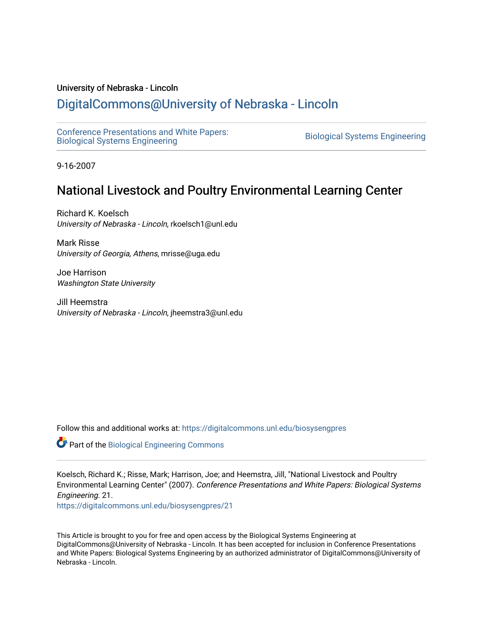# University of Nebraska - Lincoln

# [DigitalCommons@University of Nebraska - Lincoln](https://digitalcommons.unl.edu/)

[Conference Presentations and White Papers:](https://digitalcommons.unl.edu/biosysengpres)  [Biological Systems Engineering](https://digitalcommons.unl.edu/biosysengpres) [Biological Systems Engineering](https://digitalcommons.unl.edu/agbiosyseng) 

9-16-2007

# National Livestock and Poultry Environmental Learning Center

Richard K. Koelsch University of Nebraska - Lincoln, rkoelsch1@unl.edu

Mark Risse University of Georgia, Athens, mrisse@uga.edu

Joe Harrison Washington State University

Jill Heemstra University of Nebraska - Lincoln, jheemstra3@unl.edu

Follow this and additional works at: [https://digitalcommons.unl.edu/biosysengpres](https://digitalcommons.unl.edu/biosysengpres?utm_source=digitalcommons.unl.edu%2Fbiosysengpres%2F21&utm_medium=PDF&utm_campaign=PDFCoverPages)

Part of the [Biological Engineering Commons](http://network.bepress.com/hgg/discipline/230?utm_source=digitalcommons.unl.edu%2Fbiosysengpres%2F21&utm_medium=PDF&utm_campaign=PDFCoverPages)

Koelsch, Richard K.; Risse, Mark; Harrison, Joe; and Heemstra, Jill, "National Livestock and Poultry Environmental Learning Center" (2007). Conference Presentations and White Papers: Biological Systems Engineering. 21.

[https://digitalcommons.unl.edu/biosysengpres/21](https://digitalcommons.unl.edu/biosysengpres/21?utm_source=digitalcommons.unl.edu%2Fbiosysengpres%2F21&utm_medium=PDF&utm_campaign=PDFCoverPages) 

This Article is brought to you for free and open access by the Biological Systems Engineering at DigitalCommons@University of Nebraska - Lincoln. It has been accepted for inclusion in Conference Presentations and White Papers: Biological Systems Engineering by an authorized administrator of DigitalCommons@University of Nebraska - Lincoln.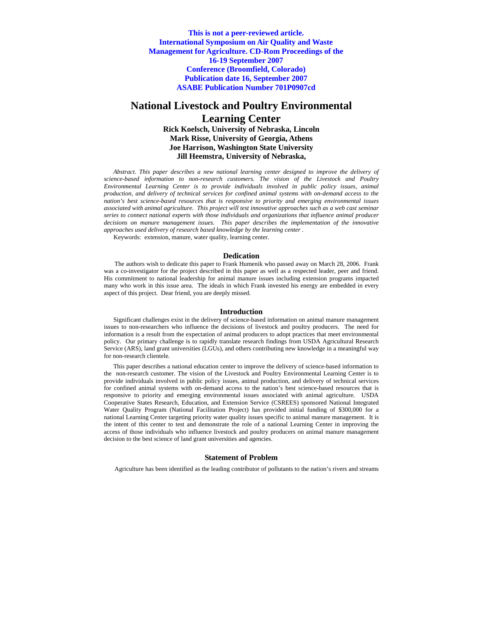**This is not a peer-reviewed article. International Symposium on Air Quality and Waste Management for Agriculture. CD-Rom Proceedings of the 16-19 September 2007 Conference (Broomfield, Colorado) Publication date 16, September 2007 ASABE Publication Number 701P0907cd** 

# **National Livestock and Poultry Environmental Learning Center Rick Koelsch, University of Nebraska, Lincoln Mark Risse, University of Georgia, Athens Joe Harrison, Washington State University Jill Heemstra, University of Nebraska,**

*Abstract. This paper describes a new national learning center designed to improve the delivery of science-based information to non-research customers. The vision of the Livestock and Poultry Environmental Learning Center is to provide individuals involved in public policy issues, animal production, and delivery of technical services for confined animal systems with on-demand access to the nation's best science-based resources that is responsive to priority and emerging environmental issues associated with animal agriculture. This project will test innovative approaches such as a web cast seminar series to connect national experts with those individuals and organizations that influence animal producer decisions on manure management issues. This paper describes the implementation of the innovative approaches used delivery of research based knowledge by the learning center .* 

Keywords: extension, manure, water quality, learning center.

#### **Dedication**

The authors wish to dedicate this paper to Frank Humenik who passed away on March 28, 2006. Frank was a co-investigator for the project described in this paper as well as a respected leader, peer and friend. His commitment to national leadership for animal manure issues including extension programs impacted many who work in this issue area. The ideals in which Frank invested his energy are embedded in every aspect of this project. Dear friend, you are deeply missed.

#### **Introduction**

Significant challenges exist in the delivery of science-based information on animal manure management issues to non-researchers who influence the decisions of livestock and poultry producers. The need for information is a result from the expectation of animal producers to adopt practices that meet environmental policy. Our primary challenge is to rapidly translate research findings from USDA Agricultural Research Service (ARS), land grant universities (LGUs), and others contributing new knowledge in a meaningful way for non-research clientele.

This paper describes a national education center to improve the delivery of science-based information to the non-research customer. The vision of the Livestock and Poultry Environmental Learning Center is to provide individuals involved in public policy issues, animal production, and delivery of technical services for confined animal systems with on-demand access to the nation's best science-based resources that is responsive to priority and emerging environmental issues associated with animal agriculture. USDA Cooperative States Research, Education, and Extension Service (CSREES) sponsored National Integrated Water Quality Program (National Facilitation Project) has provided initial funding of \$300,000 for a national Learning Center targeting priority water quality issues specific to animal manure management. It is the intent of this center to test and demonstrate the role of a national Learning Center in improving the access of those individuals who influence livestock and poultry producers on animal manure management decision to the best science of land grant universities and agencies.

#### **Statement of Problem**

Agriculture has been identified as the leading contributor of pollutants to the nation's rivers and streams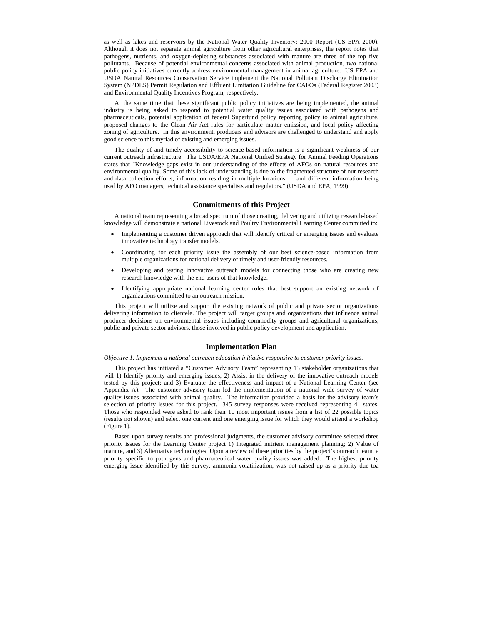as well as lakes and reservoirs by the National Water Quality Inventory: 2000 Report (US EPA 2000). Although it does not separate animal agriculture from other agricultural enterprises, the report notes that pathogens, nutrients, and oxygen-depleting substances associated with manure are three of the top five pollutants. Because of potential environmental concerns associated with animal production, two national public policy initiatives currently address environmental management in animal agriculture. US EPA and USDA Natural Resources Conservation Service implement the National Pollutant Discharge Elimination System (NPDES) Permit Regulation and Effluent Limitation Guideline for CAFOs (Federal Register 2003) and Environmental Quality Incentives Program, respectively.

At the same time that these significant public policy initiatives are being implemented, the animal industry is being asked to respond to potential water quality issues associated with pathogens and pharmaceuticals, potential application of federal Superfund policy reporting policy to animal agriculture, proposed changes to the Clean Air Act rules for particulate matter emission, and local policy affecting zoning of agriculture. In this environment, producers and advisors are challenged to understand and apply good science to this myriad of existing and emerging issues.

The quality of and timely accessibility to science-based information is a significant weakness of our current outreach infrastructure. The USDA/EPA National Unified Strategy for Animal Feeding Operations states that "Knowledge gaps exist in our understanding of the effects of AFOs on natural resources and environmental quality. Some of this lack of understanding is due to the fragmented structure of our research and data collection efforts, information residing in multiple locations … and different information being used by AFO managers, technical assistance specialists and regulators." (USDA and EPA, 1999).

## **Commitments of this Project**

A national team representing a broad spectrum of those creating, delivering and utilizing research-based knowledge will demonstrate a national Livestock and Poultry Environmental Learning Center committed to:

- Implementing a customer driven approach that will identify critical or emerging issues and evaluate innovative technology transfer models.
- Coordinating for each priority issue the assembly of our best science-based information from multiple organizations for national delivery of timely and user-friendly resources.
- Developing and testing innovative outreach models for connecting those who are creating new research knowledge with the end users of that knowledge.
- Identifying appropriate national learning center roles that best support an existing network of organizations committed to an outreach mission.

This project will utilize and support the existing network of public and private sector organizations delivering information to clientele. The project will target groups and organizations that influence animal producer decisions on environmental issues including commodity groups and agricultural organizations, public and private sector advisors, those involved in public policy development and application.

#### **Implementation Plan**

*Objective 1. Implement a national outreach education initiative responsive to customer priority issues.* 

This project has initiated a "Customer Advisory Team" representing 13 stakeholder organizations that will 1) Identify priority and emerging issues; 2) Assist in the delivery of the innovative outreach models tested by this project; and 3) Evaluate the effectiveness and impact of a National Learning Center (see Appendix A). The customer advisory team led the implementation of a national wide survey of water quality issues associated with animal quality. The information provided a basis for the advisory team's selection of priority issues for this project. 345 survey responses were received representing 41 states. Those who responded were asked to rank their 10 most important issues from a list of 22 possible topics (results not shown) and select one current and one emerging issue for which they would attend a workshop (Figure 1).

Based upon survey results and professional judgments, the customer advisory committee selected three priority issues for the Learning Center project 1) Integrated nutrient management planning; 2) Value of manure, and 3) Alternative technologies. Upon a review of these priorities by the project's outreach team, a priority specific to pathogens and pharmaceutical water quality issues was added. The highest priority emerging issue identified by this survey, ammonia volatilization, was not raised up as a priority due toa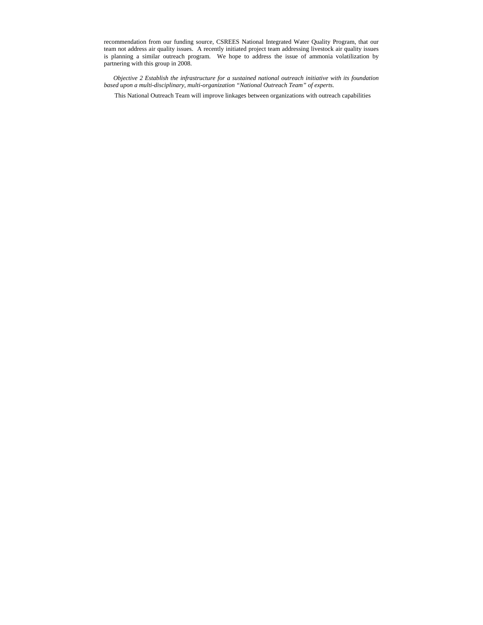recommendation from our funding source, CSREES National Integrated Water Quality Program, that our team not address air quality issues. A recently initiated project team addressing livestock air quality issues is planning a similar outreach program. We hope to address the issue of ammonia volatilization by partnering with this group in 2008.

*Objective 2 Establish the infrastructure for a sustained national outreach initiative with its foundation based upon a multi-disciplinary, multi-organization "National Outreach Team" of experts.* 

This National Outreach Team will improve linkages between organizations with outreach capabilities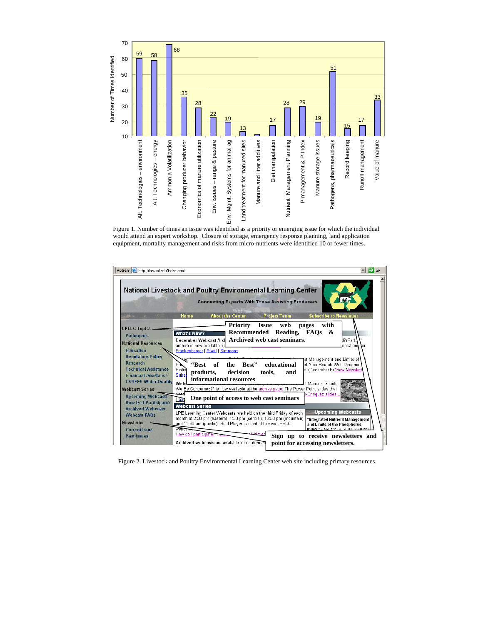

Figure 1. Number of times an issue was identified as a priority or emerging issue for which the individual would attend an expert workshop. Closure of storage, emergency response planning, land application equipment, mortality management and risks from micro-nutrients were identified 10 or fewer times.



Figure 2. Livestock and Poultry Environmental Learning Center web site including primary resources.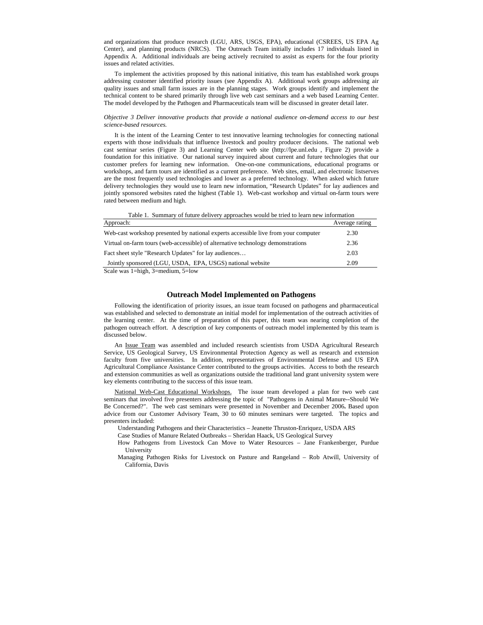and organizations that produce research (LGU, ARS, USGS, EPA), educational (CSREES, US EPA Ag Center), and planning products (NRCS). The Outreach Team initially includes 17 individuals listed in Appendix A. Additional individuals are being actively recruited to assist as experts for the four priority issues and related activities.

To implement the activities proposed by this national initiative, this team has established work groups addressing customer identified priority issues (see Appendix A). Additional work groups addressing air quality issues and small farm issues are in the planning stages. Work groups identify and implement the technical content to be shared primarily through live web cast seminars and a web based Learning Center. The model developed by the Pathogen and Pharmaceuticals team will be discussed in greater detail later.

#### *Objective 3 Deliver innovative products that provide a national audience on-demand access to our best science-based resources.*

It is the intent of the Learning Center to test innovative learning technologies for connecting national experts with those individuals that influence livestock and poultry producer decisions. The national web cast seminar series (Figure 3) and Learning Center web site (http://lpe.unl.edu , Figure 2) provide a foundation for this initiative. Our national survey inquired about current and future technologies that our customer prefers for learning new information. One-on-one communications, educational programs or workshops, and farm tours are identified as a current preference. Web sites, email, and electronic listserves are the most frequently used technologies and lower as a preferred technology. When asked which future delivery technologies they would use to learn new information, "Research Updates" for lay audiences and jointly sponsored websites rated the highest (Table 1). Web-cast workshop and virtual on-farm tours were rated between medium and high.

| Table 1. Summary of future delivery approaches would be tried to learn new information |                |
|----------------------------------------------------------------------------------------|----------------|
| Approach:                                                                              | Average rating |
| Web-cast workshop presented by national experts accessible live from your computer     | 2.30           |
| Virtual on-farm tours (web-accessible) of alternative technology demonstrations        | 2.36           |
| Fact sheet style "Research Updates" for lay audiences                                  | 2.03           |
| Jointly sponsored (LGU, USDA, EPA, USGS) national website                              | 2.09           |

Scale was 1=high, 3=medium, 5=low

# **Outreach Model Implemented on Pathogens**

Following the identification of priority issues, an issue team focused on pathogens and pharmaceutical was established and selected to demonstrate an initial model for implementation of the outreach activities of the learning center. At the time of preparation of this paper, this team was nearing completion of the pathogen outreach effort. A description of key components of outreach model implemented by this team is discussed below.

An Issue Team was assembled and included research scientists from USDA Agricultural Research Service, US Geological Survey, US Environmental Protection Agency as well as research and extension faculty from five universities. In addition, representatives of Environmental Defense and US EPA Agricultural Compliance Assistance Center contributed to the groups activities. Access to both the research and extension communities as well as organizations outside the traditional land grant university system were key elements contributing to the success of this issue team.

National Web-Cast Educational Workshops. The issue team developed a plan for two web cast seminars that involved five presenters addressing the topic of "Pathogens in Animal Manure--Should We Be Concerned?". The web cast seminars were presented in November and December 2006**.** Based upon advice from our Customer Advisory Team, 30 to 60 minutes seminars were targeted. The topics and presenters included:

Understanding Pathogens and their Characteristics – Jeanette Thruston-Enriquez, USDA ARS

Case Studies of Manure Related Outbreaks – Sheridan Haack, US Geological Survey

How Pathogens from Livestock Can Move to Water Resources – Jane Frankenberger, Purdue University

Managing Pathogen Risks for Livestock on Pasture and Rangeland – Rob Atwill, University of California, Davis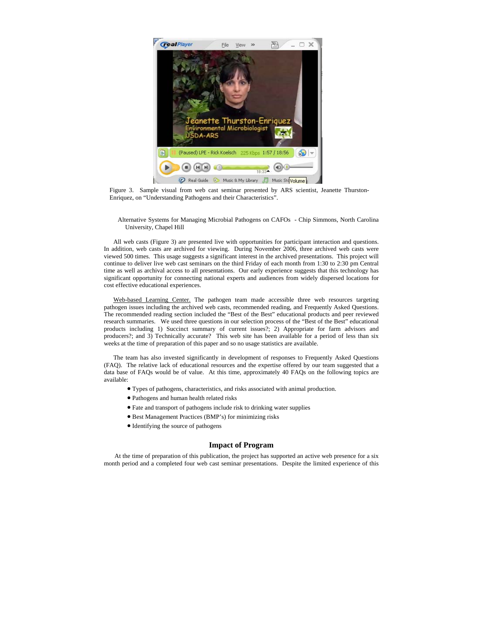

Figure 3. Sample visual from web cast seminar presented by ARS scientist, Jeanette Thurston-Enriquez, on "Understanding Pathogens and their Characteristics".

Alternative Systems for Managing Microbial Pathogens on CAFOs - Chip Simmons, North Carolina University, Chapel Hill

All web casts (Figure 3) are presented live with opportunities for participant interaction and questions. In addition, web casts are archived for viewing. During November 2006, three archived web casts were viewed 500 times. This usage suggests a significant interest in the archived presentations. This project will continue to deliver live web cast seminars on the third Friday of each month from 1:30 to 2:30 pm Central time as well as archival access to all presentations. Our early experience suggests that this technology has significant opportunity for connecting national experts and audiences from widely dispersed locations for cost effective educational experiences.

Web-based Learning Center. The pathogen team made accessible three web resources targeting pathogen issues including the archived web casts, recommended reading, and Frequently Asked Questions. The recommended reading section included the "Best of the Best" educational products and peer reviewed research summaries. We used three questions in our selection process of the "Best of the Best" educational products including 1) Succinct summary of current issues?; 2) Appropriate for farm advisors and producers?; and 3) Technically accurate? This web site has been available for a period of less than six weeks at the time of preparation of this paper and so no usage statistics are available.

The team has also invested significantly in development of responses to Frequently Asked Questions (FAQ). The relative lack of educational resources and the expertise offered by our team suggested that a data base of FAQs would be of value. At this time, approximately 40 FAQs on the following topics are available:

- [Types of pathogens, characteristics, and risks associated with animal production](http://lpe.unl.edu/pathogen2.html).
- Pathogens and human health related risks
- Fate and transport of pathogens include risk to drinking water supplies
- Best Management Practices (BMP's) for minimizing risks
- Identifying the source of pathogens

### **Impact of Program**

At the time of preparation of this publication, the project has supported an active web presence for a six month period and a completed four web cast seminar presentations. Despite the limited experience of this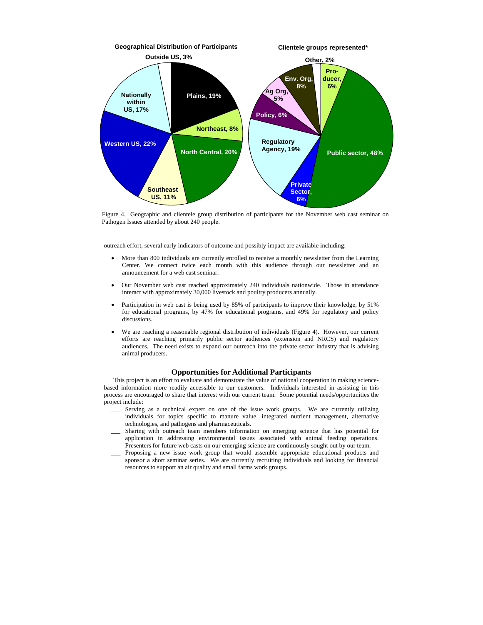

Figure 4. Geographic and clientele group distribution of participants for the November web cast seminar on Pathogen Issues attended by about 240 people.

outreach effort, several early indicators of outcome and possibly impact are available including:

- More than 800 individuals are currently enrolled to receive a monthly newsletter from the Learning Center. We connect twice each month with this audience through our newsletter and an announcement for a web cast seminar.
- Our November web cast reached approximately 240 individuals nationwide. Those in attendance interact with approximately 30,000 livestock and poultry producers annually.
- Participation in web cast is being used by 85% of participants to improve their knowledge, by 51% for educational programs, by 47% for educational programs, and 49% for regulatory and policy discussions.
- We are reaching a reasonable regional distribution of individuals (Figure 4). However, our current efforts are reaching primarily public sector audiences (extension and NRCS) and regulatory audiences. The need exists to expand our outreach into the private sector industry that is advising animal producers.

# **Opportunities for Additional Participants**

This project is an effort to evaluate and demonstrate the value of national cooperation in making sciencebased information more readily accessible to our customers. Individuals interested in assisting in this process are encouraged to share that interest with our current team. Some potential needs/opportunities the project include:

- Serving as a technical expert on one of the issue work groups. We are currently utilizing individuals for topics specific to manure value, integrated nutrient management, alternative technologies, and pathogens and pharmaceuticals.
- Sharing with outreach team members information on emerging science that has potential for application in addressing environmental issues associated with animal feeding operations. Presenters for future web casts on our emerging science are continuously sought out by our team.
- \_\_\_ Proposing a new issue work group that would assemble appropriate educational products and sponsor a short seminar series. We are currently recruiting individuals and looking for financial resources to support an air quality and small farms work groups.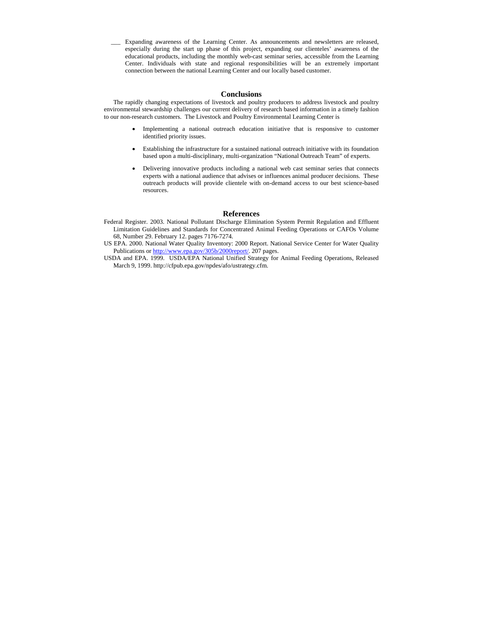\_\_\_ Expanding awareness of the Learning Center. As announcements and newsletters are released, especially during the start up phase of this project, expanding our clienteles' awareness of the educational products, including the monthly web-cast seminar series, accessible from the Learning Center. Individuals with state and regional responsibilities will be an extremely important connection between the national Learning Center and our locally based customer.

### **Conclusions**

The rapidly changing expectations of livestock and poultry producers to address livestock and poultry environmental stewardship challenges our current delivery of research based information in a timely fashion to our non-research customers. The Livestock and Poultry Environmental Learning Center is

- Implementing a national outreach education initiative that is responsive to customer identified priority issues.
- Establishing the infrastructure for a sustained national outreach initiative with its foundation based upon a multi-disciplinary, multi-organization "National Outreach Team" of experts.
- Delivering innovative products including a national web cast seminar series that connects experts with a national audience that advises or influences animal producer decisions. These outreach products will provide clientele with on-demand access to our best science-based resources.

# **References**

- Federal Register. 2003. National Pollutant Discharge Elimination System Permit Regulation and Effluent Limitation Guidelines and Standards for Concentrated Animal Feeding Operations or CAFOs Volume 68, Number 29. February 12. pages 7176-7274.
- US EPA. 2000. National Water Quality Inventory: 2000 Report. National Service Center for Water Quality Publications or h[ttp://www.epa.gov/305b/2000report](http://www.epa.gov/305b/2000report/)/. 207 pages.
- USDA and EPA. 1999. USDA/EPA National Unified Strategy for Animal Feeding Operations, Released March 9, 1999. http://cfpub.epa.gov/npdes/afo/ustrategy.cfm.